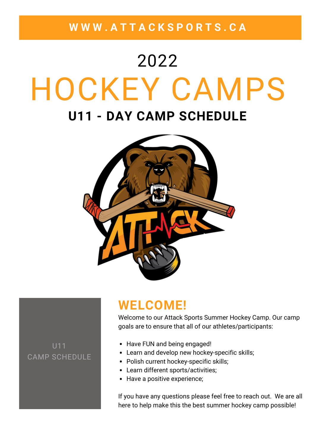**W W W . A T T A C K S P O R T S . C A**

# HOCKEY CAMPS **U11 - DAY CAMP SCHEDULE** 2022



### **WELCOME!**

Welcome to our Attack Sports Summer Hockey Camp. Our camp goals are to ensure that all of our athletes/participants:

U11 CAMP SCHEDULE

- Have FUN and being engaged!
- Learn and develop new hockey-specific skills;
- Polish current hockey-specific skills;
- Learn different sports/activities;
- Have a positive experience;

If you have any questions please feel free to reach out. We are all here to help make this the best summer hockey camp possible!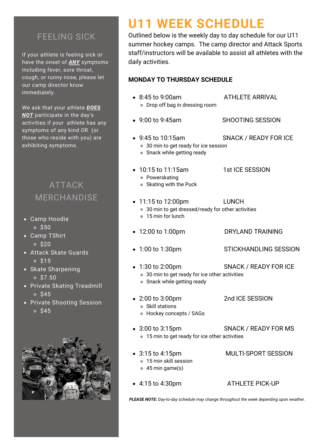### FEELING SICK

If your athlete is feeling sick or have the onset of *ANY* symptoms including fever, sore throat, cough, or runny nose, please let our camp director know immediately.

We ask that your athlete *DOES NOT* participate in the day's activities if your athlete has any symptoms of any kind OR (or those who reside with you) are exhibiting symptoms.

### ATTACK MERCHANDISE

- Camp Hoodie  $0<sup>50</sup>$
- Camp TShirt  $0<sup>520</sup>$
- Attack Skate Guards  $0<sup>515</sup>$
- Skate Sharpening  $0 S7.50$
- **Private Skating Treadmill**  $0<sup>545</sup>$
- Private Shooting Session  $0.545$



# **U11 WEEK SCHEDULE**

Outlined below is the weekly day to day schedule for our U11 summer hockey camps. The camp director and Attack Sports staff/instructors will be available to assist all athletes with the daily activities.

#### **MONDAY TO THURSDAY SCHEDULE**

- 8:45 to 9:00am ATHLETE ARRIVAL Drop off bag in dressing room 9:00 to 9:45am SHOOTING SESSION 9:45 to 10:15am SNACK / READY FOR ICE 30 min to get ready for ice session o Snack while getting ready • 10:15 to 11:15am 1st ICE SESSION Powerskating  $\circ$  Skating with the Puck • 11:15 to 12:00pm LUNCH 30 min to get dressed/ready for other activities 15 min for lunch • 12:00 to 1:00pm DRYLAND TRAINING • 1:00 to 1:30pm STICKHANDLING SESSION 1:30 to 2:00pm SNACK / READY FOR ICE 30 min to get ready for ice other activities o Snack while getting ready 2:00 to 3:00pm 2nd ICE SESSION Skill stations Hockey concepts / SAGs • 3:00 to 3:15pm SNACK / READY FOR MS 15 min to get ready for ice other activities 3:15 to 4:15pm MULTI-SPORT SESSION 15 min skill session 45 min game(s)
	- *PLEASE NOTE: Day-to-day schedule may change throughout the week depending upon weather.*

4:15 to 4:30pm ATHLETE PICK-UP